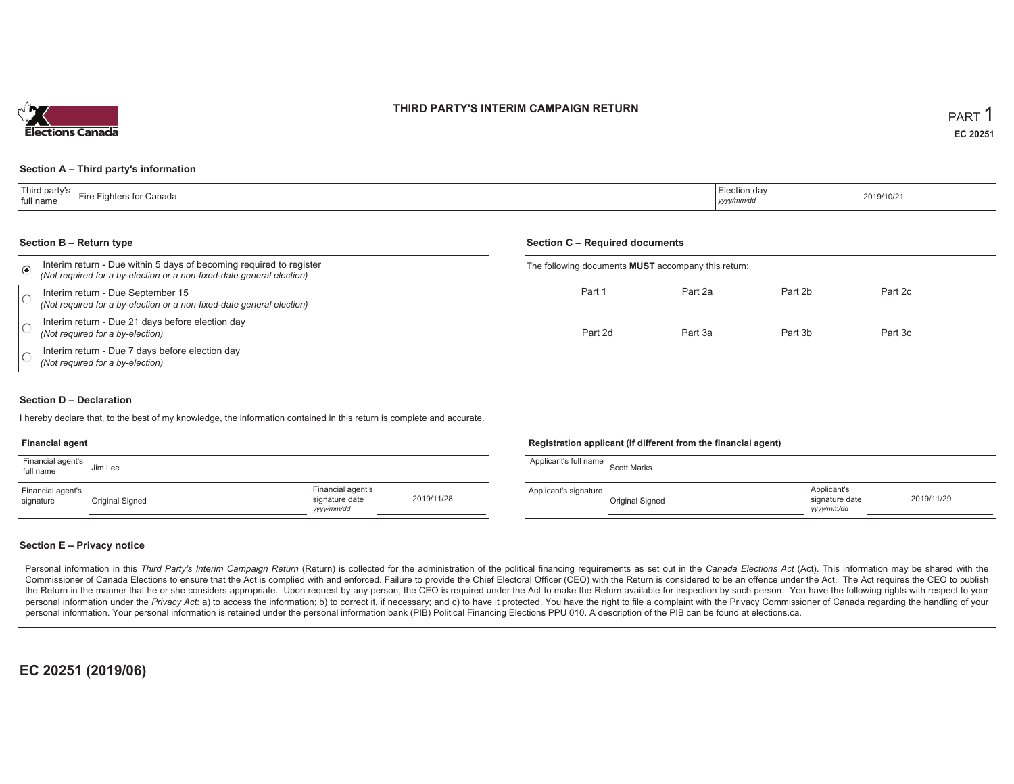### **THIRD PARTY'S INTERIM CAMPAIGN RETURN**



### **Section A – Third party's information**

| T <sub>bin</sub><br>d partv's<br>Fire Fighters for Canada<br>full name | Election dav<br>2019/10/21<br>.<br>yyyy/mm/dd |
|------------------------------------------------------------------------|-----------------------------------------------|
|------------------------------------------------------------------------|-----------------------------------------------|

#### **Section B – Return type**

| ⋒ | Interim return - Due within 5 days of becoming required to register<br>(Not required for a by-election or a non-fixed-date general election) | The following documents <b>MUST</b> accompany this return: |         |         |         |  |
|---|----------------------------------------------------------------------------------------------------------------------------------------------|------------------------------------------------------------|---------|---------|---------|--|
|   | Interim return - Due September 15<br>(Not required for a by-election or a non-fixed-date general election)                                   | Part 1                                                     | Part 2a | Part 2b | Part 2c |  |
|   | Interim return - Due 21 days before election day<br>(Not required for a by-election)                                                         | Part 2d                                                    | Part 3a | Part 3b | Part 3c |  |
|   | Interim return - Due 7 days before election day<br>(Not required for a by-election)                                                          |                                                            |         |         |         |  |

#### **Section D – Declaration**

I hereby declare that, to the best of my knowledge, the information contained in this return is complete and accurate.

#### **Financial agent**

| Financial agent's<br>full name | Jim Lee         |                                                   |            |
|--------------------------------|-----------------|---------------------------------------------------|------------|
| Financial agent's<br>signature | Original Signed | Financial agent's<br>signature date<br>yyyy/mm/dd | 2019/11/28 |

### **Registration applicant (if different from the financial agent)**

**Section C – Required documents**

| Applicant's full name | <b>Scott Marks</b> |                                            |            |
|-----------------------|--------------------|--------------------------------------------|------------|
| Applicant's signature | Original Signed    | Applicant's<br>signature date<br>yyy/mm/dd | 2019/11/29 |

### **Section E – Privacy notice**

Personal information in this Third Party's Interim Campaign Return (Return) is collected for the administration of the political financing requirements as set out in the Canada Elections Act (Act). This information may be Commissioner of Canada Elections to ensure that the Act is complied with and enforced. Failure to provide the Chief Electoral Officer (CEO) with the Return is considered to be an offence under the Act. The Act requires the the Return in the manner that he or she considers appropriate. Upon request by any person, the CEO is required under the Act to make the Return available for inspection by such person. You have the following rights with re personal information under the Privacy Act: a) to access the information; b) to correct it, if necessary; and c) to have it protected. You have the right to file a complaint with the Privacy Commissioner of Canada regardin personal information. Your personal information is retained under the personal information bank (PIB) Political Financing Elections PPU 010. A description of the PIB can be found at elections.ca.

**EC 20251 (2019/06)**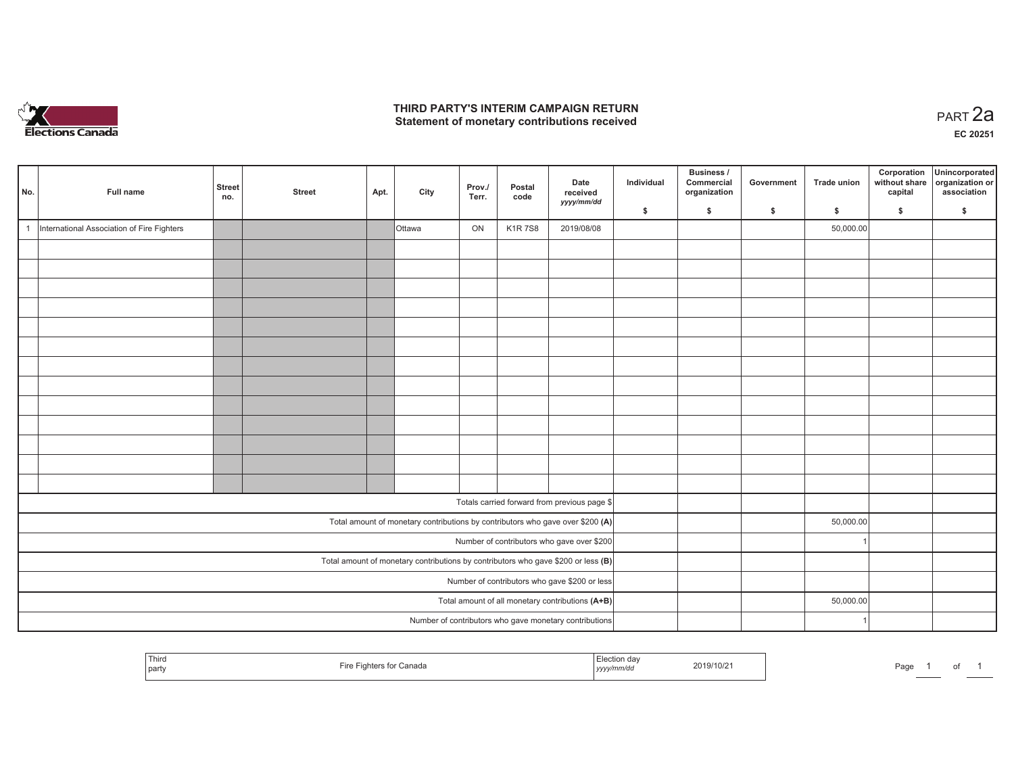

## **THIRD PARTY'S INTERIM CAMPAIGN RETURN**  THIRD PARTY'S INTERIM CAMPAIGN RETURN<br>Statement of monetary contributions received

| No. | Full name                                                                         | <b>Street</b><br>no. | <b>Street</b> | Apt. | City          | Prov./<br>Terr. | Postal<br>code | Date<br>received<br>yyyy/mm/dd                                                 | Individual | Business /<br>Commercial<br>organization | Government | <b>Trade union</b> | Corporation<br>without share<br>capital | Unincorporated<br>organization or<br>association |
|-----|-----------------------------------------------------------------------------------|----------------------|---------------|------|---------------|-----------------|----------------|--------------------------------------------------------------------------------|------------|------------------------------------------|------------|--------------------|-----------------------------------------|--------------------------------------------------|
|     |                                                                                   |                      |               |      |               |                 |                |                                                                                | S.         | \$                                       | \$         | S.                 | \$                                      | S.                                               |
|     | International Association of Fire Fighters                                        |                      |               |      | <b>Ottawa</b> | ON              | <b>K1R7S8</b>  | 2019/08/08                                                                     |            |                                          |            | 50,000.00          |                                         |                                                  |
|     |                                                                                   |                      |               |      |               |                 |                |                                                                                |            |                                          |            |                    |                                         |                                                  |
|     |                                                                                   |                      |               |      |               |                 |                |                                                                                |            |                                          |            |                    |                                         |                                                  |
|     |                                                                                   |                      |               |      |               |                 |                |                                                                                |            |                                          |            |                    |                                         |                                                  |
|     |                                                                                   |                      |               |      |               |                 |                |                                                                                |            |                                          |            |                    |                                         |                                                  |
|     |                                                                                   |                      |               |      |               |                 |                |                                                                                |            |                                          |            |                    |                                         |                                                  |
|     |                                                                                   |                      |               |      |               |                 |                |                                                                                |            |                                          |            |                    |                                         |                                                  |
|     |                                                                                   |                      |               |      |               |                 |                |                                                                                |            |                                          |            |                    |                                         |                                                  |
|     |                                                                                   |                      |               |      |               |                 |                |                                                                                |            |                                          |            |                    |                                         |                                                  |
|     |                                                                                   |                      |               |      |               |                 |                |                                                                                |            |                                          |            |                    |                                         |                                                  |
|     |                                                                                   |                      |               |      |               |                 |                |                                                                                |            |                                          |            |                    |                                         |                                                  |
|     |                                                                                   |                      |               |      |               |                 |                |                                                                                |            |                                          |            |                    |                                         |                                                  |
|     |                                                                                   |                      |               |      |               |                 |                |                                                                                |            |                                          |            |                    |                                         |                                                  |
|     |                                                                                   |                      |               |      |               |                 |                |                                                                                |            |                                          |            |                    |                                         |                                                  |
|     |                                                                                   |                      |               |      |               |                 |                | Totals carried forward from previous page \$                                   |            |                                          |            |                    |                                         |                                                  |
|     |                                                                                   |                      |               |      |               |                 |                | Total amount of monetary contributions by contributors who gave over \$200 (A) |            |                                          |            | 50,000.00          |                                         |                                                  |
|     | Number of contributors who gave over \$200                                        |                      |               |      |               |                 |                |                                                                                |            |                                          |            |                    |                                         |                                                  |
|     | Total amount of monetary contributions by contributors who gave \$200 or less (B) |                      |               |      |               |                 |                |                                                                                |            |                                          |            |                    |                                         |                                                  |
|     | Number of contributors who gave \$200 or less                                     |                      |               |      |               |                 |                |                                                                                |            |                                          |            |                    |                                         |                                                  |
|     | Total amount of all monetary contributions (A+B)                                  |                      |               |      |               |                 |                |                                                                                |            |                                          |            | 50,000.00          |                                         |                                                  |
|     |                                                                                   |                      |               |      |               |                 |                | Number of contributors who gave monetary contributions                         |            |                                          |            |                    |                                         |                                                  |

| <sup>1</sup> Third<br>party | ∵anada<br>11 U | lection<br>2019/10/21<br>.<br>  yyyy/mm/aa | Page |
|-----------------------------|----------------|--------------------------------------------|------|
|-----------------------------|----------------|--------------------------------------------|------|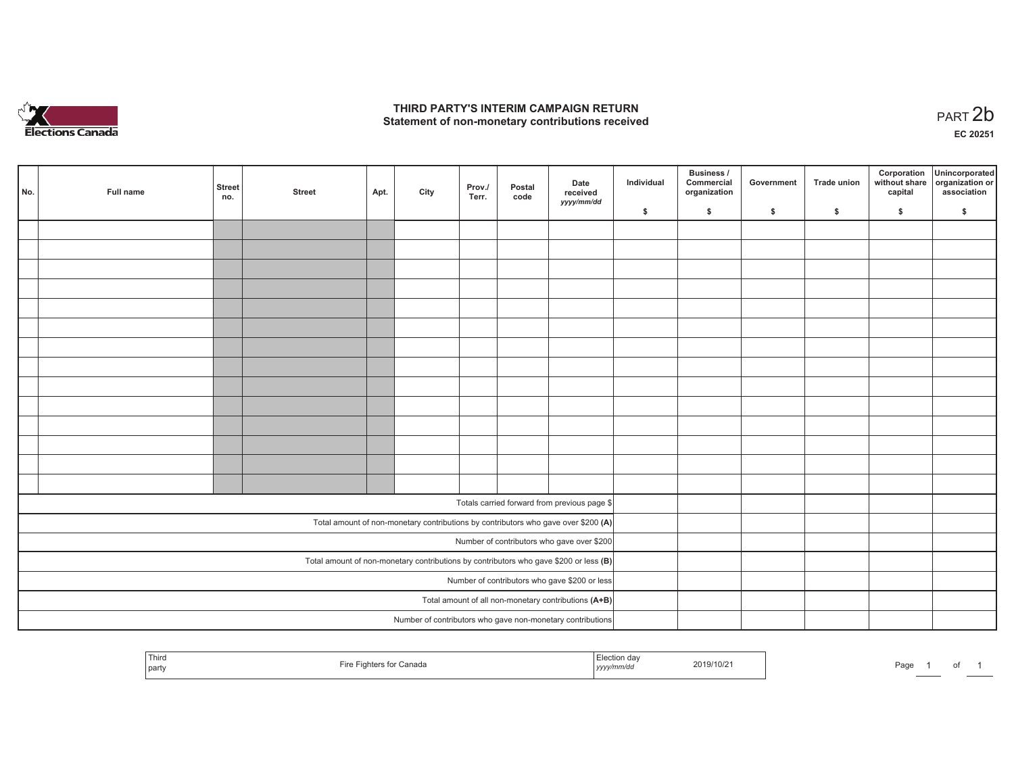

## **THIRD PARTY'S INTERIM CAMPAIGN RETURN**  THIRD PARTY'S INTERIM CAMPAIGN RETURN<br>Statement of non-monetary contributions received<br> **PART 2**b

**EC 20251**

| No. | Full name                                                                               | <b>Street</b><br>no. | <b>Street</b> | Apt. | City | Prov./<br>Terr. | Postal<br>code | Date<br>received<br>yyyy/mm/dd                                                     | Individual | Business /<br>Commercial<br>organization | Government | <b>Trade union</b> | Corporation<br>without share<br>capital | Unincorporated<br>organization or<br>association |
|-----|-----------------------------------------------------------------------------------------|----------------------|---------------|------|------|-----------------|----------------|------------------------------------------------------------------------------------|------------|------------------------------------------|------------|--------------------|-----------------------------------------|--------------------------------------------------|
|     |                                                                                         |                      |               |      |      |                 |                |                                                                                    | \$         | $\mathsf{s}$                             | \$         | $\mathsf{s}$       | \$                                      | \$                                               |
|     |                                                                                         |                      |               |      |      |                 |                |                                                                                    |            |                                          |            |                    |                                         |                                                  |
|     |                                                                                         |                      |               |      |      |                 |                |                                                                                    |            |                                          |            |                    |                                         |                                                  |
|     |                                                                                         |                      |               |      |      |                 |                |                                                                                    |            |                                          |            |                    |                                         |                                                  |
|     |                                                                                         |                      |               |      |      |                 |                |                                                                                    |            |                                          |            |                    |                                         |                                                  |
|     |                                                                                         |                      |               |      |      |                 |                |                                                                                    |            |                                          |            |                    |                                         |                                                  |
|     |                                                                                         |                      |               |      |      |                 |                |                                                                                    |            |                                          |            |                    |                                         |                                                  |
|     |                                                                                         |                      |               |      |      |                 |                |                                                                                    |            |                                          |            |                    |                                         |                                                  |
|     |                                                                                         |                      |               |      |      |                 |                |                                                                                    |            |                                          |            |                    |                                         |                                                  |
|     |                                                                                         |                      |               |      |      |                 |                |                                                                                    |            |                                          |            |                    |                                         |                                                  |
|     |                                                                                         |                      |               |      |      |                 |                |                                                                                    |            |                                          |            |                    |                                         |                                                  |
|     |                                                                                         |                      |               |      |      |                 |                |                                                                                    |            |                                          |            |                    |                                         |                                                  |
|     |                                                                                         |                      |               |      |      |                 |                |                                                                                    |            |                                          |            |                    |                                         |                                                  |
|     |                                                                                         |                      |               |      |      |                 |                |                                                                                    |            |                                          |            |                    |                                         |                                                  |
|     |                                                                                         |                      |               |      |      |                 |                |                                                                                    |            |                                          |            |                    |                                         |                                                  |
|     |                                                                                         |                      |               |      |      |                 |                | Totals carried forward from previous page \$                                       |            |                                          |            |                    |                                         |                                                  |
|     |                                                                                         |                      |               |      |      |                 |                | Total amount of non-monetary contributions by contributors who gave over \$200 (A) |            |                                          |            |                    |                                         |                                                  |
|     |                                                                                         |                      |               |      |      |                 |                | Number of contributors who gave over \$200                                         |            |                                          |            |                    |                                         |                                                  |
|     | Total amount of non-monetary contributions by contributors who gave \$200 or less $(B)$ |                      |               |      |      |                 |                |                                                                                    |            |                                          |            |                    |                                         |                                                  |
|     |                                                                                         |                      |               |      |      |                 |                | Number of contributors who gave \$200 or less                                      |            |                                          |            |                    |                                         |                                                  |
|     | Total amount of all non-monetary contributions (A+B)                                    |                      |               |      |      |                 |                |                                                                                    |            |                                          |            |                    |                                         |                                                  |
|     |                                                                                         |                      |               |      |      |                 |                | Number of contributors who gave non-monetary contributions                         |            |                                          |            |                    |                                         |                                                  |

|  | Third<br>party | Canada<br>ше<br>. | ulon dav<br><br>,,,,, | 2019/10/21 | Page |  | $\cdot$ |  |
|--|----------------|-------------------|-----------------------|------------|------|--|---------|--|
|--|----------------|-------------------|-----------------------|------------|------|--|---------|--|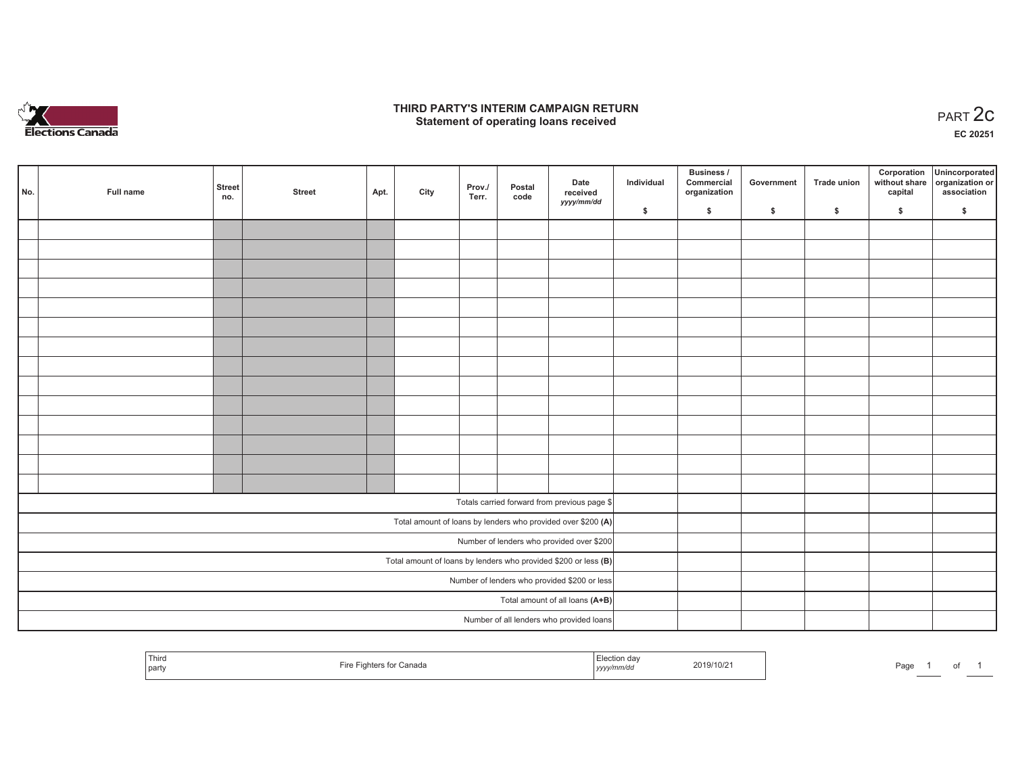

### **THIRD PARTY'S INTERIM CAMPAIGN RETURN**  RD PARTY'S INTERIM CAMPAIGN RETURN<br>Statement of operating loans received **PART 2c**

**EC 20251**

| No.                                                               | Full name | <b>Street</b><br>no. | <b>Street</b> | Apt. | City | Prov./<br>Terr. | Postal<br>code | Date<br>received<br>yyyy/mm/dd                               | Individual | Business /<br>Commercial<br>organization | Government | Trade union   | Corporation | Unincorporated<br>without share organization or<br>capital association |
|-------------------------------------------------------------------|-----------|----------------------|---------------|------|------|-----------------|----------------|--------------------------------------------------------------|------------|------------------------------------------|------------|---------------|-------------|------------------------------------------------------------------------|
|                                                                   |           |                      |               |      |      |                 |                |                                                              | \$         | $\frac{1}{2}$                            | \$         | $\frac{1}{2}$ | \$          | \$                                                                     |
|                                                                   |           |                      |               |      |      |                 |                |                                                              |            |                                          |            |               |             |                                                                        |
|                                                                   |           |                      |               |      |      |                 |                |                                                              |            |                                          |            |               |             |                                                                        |
|                                                                   |           |                      |               |      |      |                 |                |                                                              |            |                                          |            |               |             |                                                                        |
|                                                                   |           |                      |               |      |      |                 |                |                                                              |            |                                          |            |               |             |                                                                        |
|                                                                   |           |                      |               |      |      |                 |                |                                                              |            |                                          |            |               |             |                                                                        |
|                                                                   |           |                      |               |      |      |                 |                |                                                              |            |                                          |            |               |             |                                                                        |
|                                                                   |           |                      |               |      |      |                 |                |                                                              |            |                                          |            |               |             |                                                                        |
|                                                                   |           |                      |               |      |      |                 |                |                                                              |            |                                          |            |               |             |                                                                        |
|                                                                   |           |                      |               |      |      |                 |                |                                                              |            |                                          |            |               |             |                                                                        |
|                                                                   |           |                      |               |      |      |                 |                |                                                              |            |                                          |            |               |             |                                                                        |
|                                                                   |           |                      |               |      |      |                 |                |                                                              |            |                                          |            |               |             |                                                                        |
|                                                                   |           |                      |               |      |      |                 |                |                                                              |            |                                          |            |               |             |                                                                        |
|                                                                   |           |                      |               |      |      |                 |                |                                                              |            |                                          |            |               |             |                                                                        |
|                                                                   |           |                      |               |      |      |                 |                |                                                              |            |                                          |            |               |             |                                                                        |
|                                                                   |           |                      |               |      |      |                 |                |                                                              |            |                                          |            |               |             |                                                                        |
|                                                                   |           |                      |               |      |      |                 |                | Totals carried forward from previous page \$                 |            |                                          |            |               |             |                                                                        |
|                                                                   |           |                      |               |      |      |                 |                | Total amount of loans by lenders who provided over \$200 (A) |            |                                          |            |               |             |                                                                        |
| Number of lenders who provided over \$200                         |           |                      |               |      |      |                 |                |                                                              |            |                                          |            |               |             |                                                                        |
| Total amount of loans by lenders who provided \$200 or less $(B)$ |           |                      |               |      |      |                 |                |                                                              |            |                                          |            |               |             |                                                                        |
|                                                                   |           |                      |               |      |      |                 |                | Number of lenders who provided \$200 or less                 |            |                                          |            |               |             |                                                                        |
|                                                                   |           |                      |               |      |      |                 |                | Total amount of all loans (A+B)                              |            |                                          |            |               |             |                                                                        |
|                                                                   |           |                      |               |      |      |                 |                | Number of all lenders who provided loans                     |            |                                          |            |               |             |                                                                        |
|                                                                   |           |                      |               |      |      |                 |                |                                                              |            |                                          |            |               |             |                                                                        |

| Third<br>Fire Fighters for Canada<br>  party | Election day<br>2019/10/21<br><sub>I</sub> yyyy/mm/dd | Page |
|----------------------------------------------|-------------------------------------------------------|------|
|----------------------------------------------|-------------------------------------------------------|------|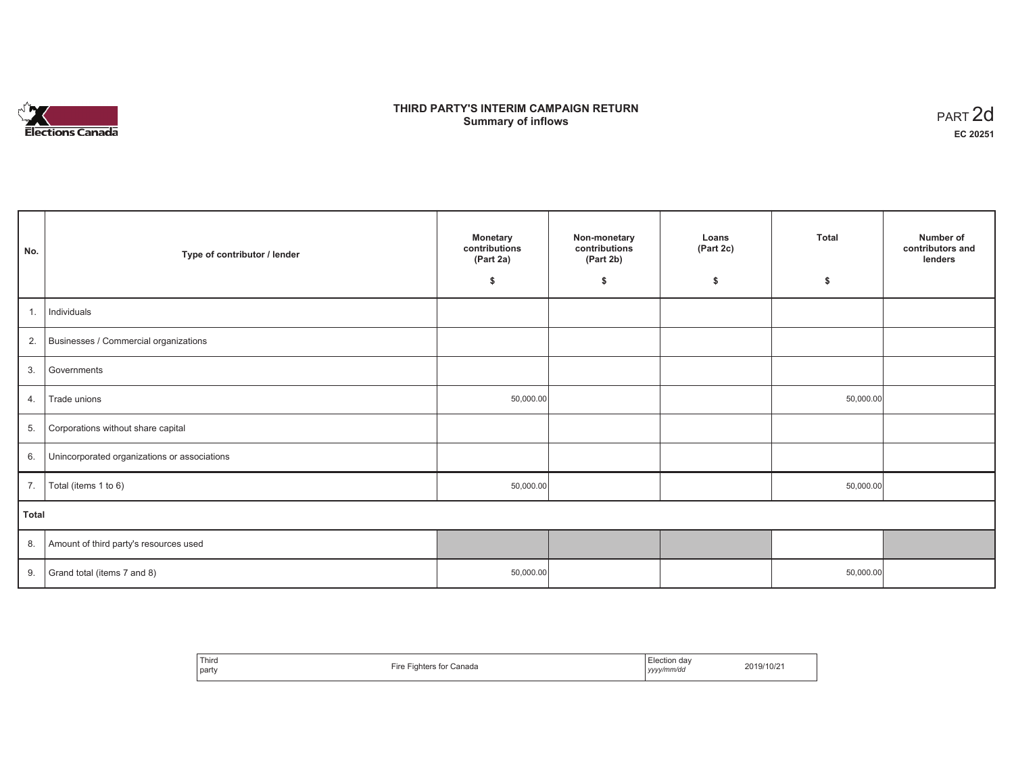

## **THIRD PARTY'S INTERIM CAMPAIGN RETURN SUMMARY STATE SUMPAIGN RETURN SUMMARY SUMMARY OF ART 2d**<br> **Summary of inflows**

| No.   | Type of contributor / lender                 | <b>Monetary</b><br>contributions<br>(Part 2a)<br>\$ | Non-monetary<br>contributions<br>(Part 2b)<br>\$ | Loans<br>(Part 2c)<br>\$ | <b>Total</b><br>\$ | Number of<br>contributors and<br>lenders |  |  |
|-------|----------------------------------------------|-----------------------------------------------------|--------------------------------------------------|--------------------------|--------------------|------------------------------------------|--|--|
| 1.    | Individuals                                  |                                                     |                                                  |                          |                    |                                          |  |  |
|       | 2. Businesses / Commercial organizations     |                                                     |                                                  |                          |                    |                                          |  |  |
| 3.    | Governments                                  |                                                     |                                                  |                          |                    |                                          |  |  |
| 4.    | Trade unions                                 | 50,000.00                                           |                                                  |                          | 50,000.00          |                                          |  |  |
| 5.    | Corporations without share capital           |                                                     |                                                  |                          |                    |                                          |  |  |
| 6.    | Unincorporated organizations or associations |                                                     |                                                  |                          |                    |                                          |  |  |
| 7.    | Total (items 1 to 6)                         | 50,000.00                                           |                                                  |                          | 50,000.00          |                                          |  |  |
| Total |                                              |                                                     |                                                  |                          |                    |                                          |  |  |
|       | 8. Amount of third party's resources used    |                                                     |                                                  |                          |                    |                                          |  |  |
| 9.    | Grand total (items 7 and 8)                  | 50,000.00                                           |                                                  |                          | 50,000.00          |                                          |  |  |

| Third<br>Canada<br>∙ire<br>ighters for<br>party | -lection<br>dav<br>2019/10/21<br>yyyy/mm/da<br>,,,, |
|-------------------------------------------------|-----------------------------------------------------|
|-------------------------------------------------|-----------------------------------------------------|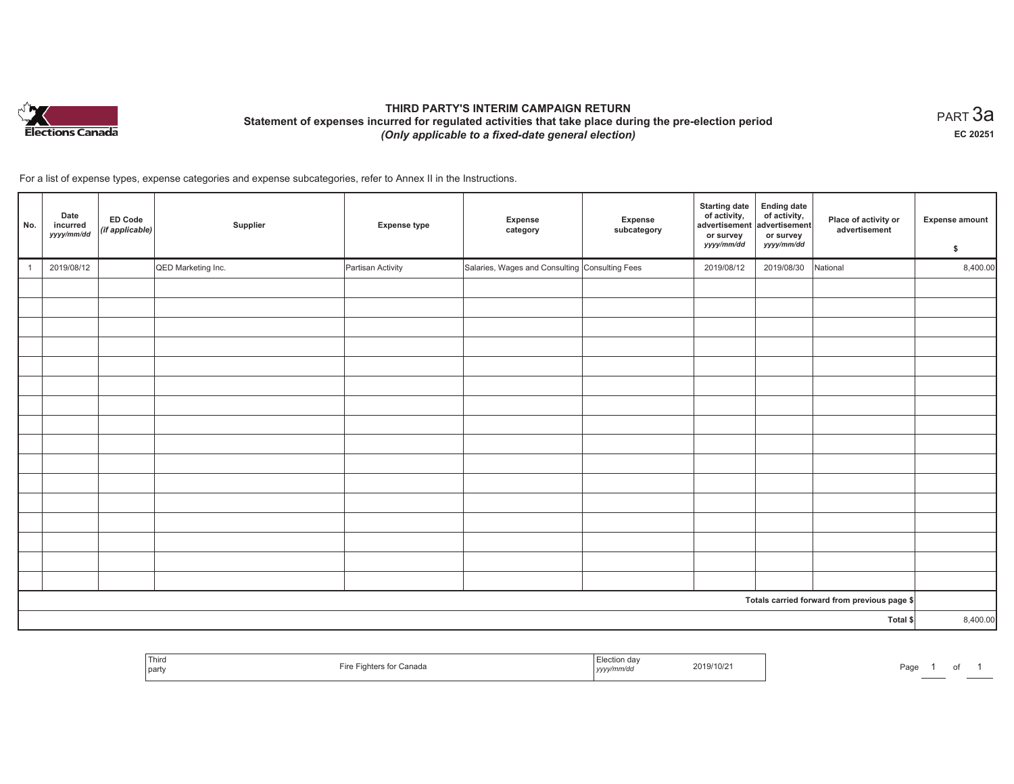

# **THIRD PARTY'S INTERIM CAMPAIGN RETURN Statement of expenses incurred for regulated activities that take place during the pre-election period**  *(Only applicable to a fixed-date general election)*

 $_{\sf PART}$ 3a **EC 20251**

For a list of expense types, expense categories and expense subcategories, refer to Annex II in the Instructions.

| No.            | Date<br>incurred<br>yyyy/mm/dd | <b>ED Code</b><br>(if applicable) | Supplier           | <b>Expense type</b> | Expense<br>category                            | Expense<br>subcategory | <b>Starting date</b><br>of activity,<br>advertisement<br>or survey<br>yyyy/mm/dd | <b>Ending date</b><br>of activity,<br>advertisement<br>or survey<br>yyyy/mm/dd | Place of activity or<br>advertisement        | <b>Expense amount</b><br>\$ |
|----------------|--------------------------------|-----------------------------------|--------------------|---------------------|------------------------------------------------|------------------------|----------------------------------------------------------------------------------|--------------------------------------------------------------------------------|----------------------------------------------|-----------------------------|
| $\overline{1}$ | 2019/08/12                     |                                   | QED Marketing Inc. | Partisan Activity   | Salaries, Wages and Consulting Consulting Fees |                        | 2019/08/12                                                                       | 2019/08/30                                                                     | National                                     | 8,400.00                    |
|                |                                |                                   |                    |                     |                                                |                        |                                                                                  |                                                                                |                                              |                             |
|                |                                |                                   |                    |                     |                                                |                        |                                                                                  |                                                                                |                                              |                             |
|                |                                |                                   |                    |                     |                                                |                        |                                                                                  |                                                                                |                                              |                             |
|                |                                |                                   |                    |                     |                                                |                        |                                                                                  |                                                                                |                                              |                             |
|                |                                |                                   |                    |                     |                                                |                        |                                                                                  |                                                                                |                                              |                             |
|                |                                |                                   |                    |                     |                                                |                        |                                                                                  |                                                                                |                                              |                             |
|                |                                |                                   |                    |                     |                                                |                        |                                                                                  |                                                                                |                                              |                             |
|                |                                |                                   |                    |                     |                                                |                        |                                                                                  |                                                                                |                                              |                             |
|                |                                |                                   |                    |                     |                                                |                        |                                                                                  |                                                                                |                                              |                             |
|                |                                |                                   |                    |                     |                                                |                        |                                                                                  |                                                                                |                                              |                             |
|                |                                |                                   |                    |                     |                                                |                        |                                                                                  |                                                                                |                                              |                             |
|                |                                |                                   |                    |                     |                                                |                        |                                                                                  |                                                                                |                                              |                             |
|                |                                |                                   |                    |                     |                                                |                        |                                                                                  |                                                                                |                                              |                             |
|                |                                |                                   |                    |                     |                                                |                        |                                                                                  |                                                                                |                                              |                             |
|                |                                |                                   |                    |                     |                                                |                        |                                                                                  |                                                                                |                                              |                             |
|                |                                |                                   |                    |                     |                                                |                        |                                                                                  |                                                                                |                                              |                             |
|                |                                |                                   |                    |                     |                                                |                        |                                                                                  |                                                                                | Totals carried forward from previous page \$ |                             |
| Total \$       |                                |                                   |                    |                     |                                                |                        |                                                                                  |                                                                                |                                              | 8,400.00                    |

| Third<br>, party | анан<br>. | הם ווני<br>2019/10/2<br>. <i>.</i> | aa |
|------------------|-----------|------------------------------------|----|
|------------------|-----------|------------------------------------|----|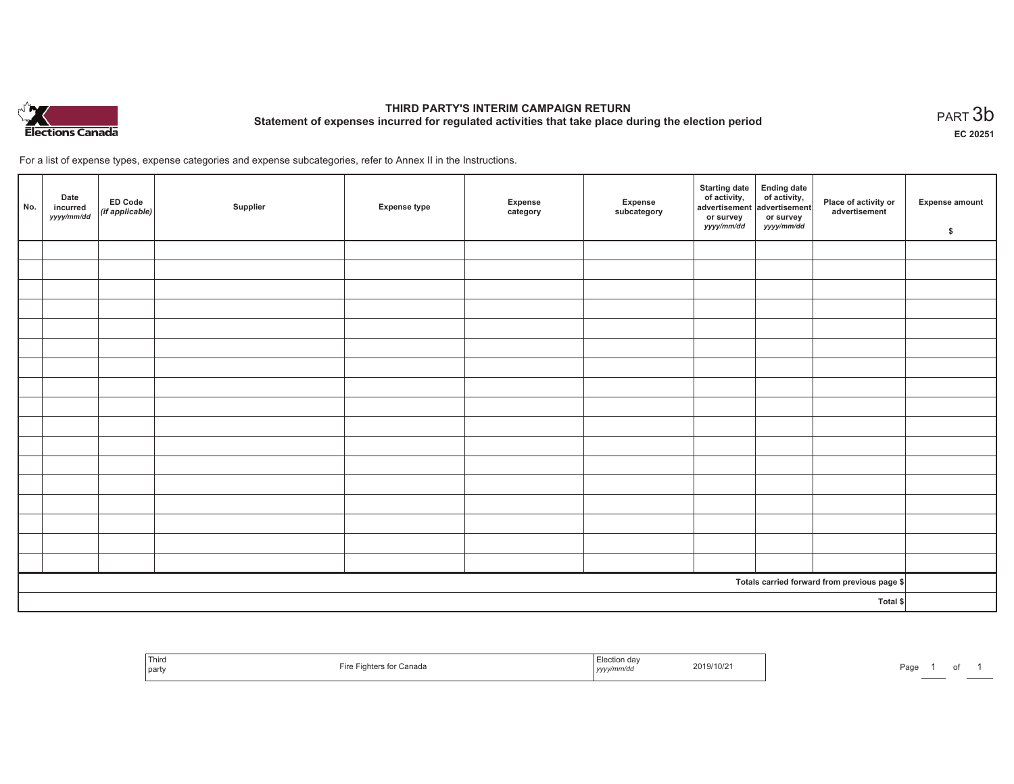

# **THIRD PARTY'S INTERIM CAMPAIGN RETURN Statement of expenses incurred for regulated activities that take place during the election period**<br>PART  $3\mathsf{b}$

**EC 20251**

For a list of expense types, expense categories and expense subcategories, refer to Annex II in the Instructions.

| No.      | Date<br>incurred<br>yyyy/mm/dd | ED Code<br>(if applicable) | Supplier | <b>Expense type</b> | Expense<br>category | Expense<br>subcategory | Starting date Ending date<br>of activity, of activity,<br>advertisement advertisement<br>or survey<br><i>yyyy/mm/dd</i> | or survey<br>yyyy/mm/dd | Place of activity or<br>advertisement        | Expense amount<br>\$ |
|----------|--------------------------------|----------------------------|----------|---------------------|---------------------|------------------------|-------------------------------------------------------------------------------------------------------------------------|-------------------------|----------------------------------------------|----------------------|
|          |                                |                            |          |                     |                     |                        |                                                                                                                         |                         |                                              |                      |
|          |                                |                            |          |                     |                     |                        |                                                                                                                         |                         |                                              |                      |
|          |                                |                            |          |                     |                     |                        |                                                                                                                         |                         |                                              |                      |
|          |                                |                            |          |                     |                     |                        |                                                                                                                         |                         |                                              |                      |
|          |                                |                            |          |                     |                     |                        |                                                                                                                         |                         |                                              |                      |
|          |                                |                            |          |                     |                     |                        |                                                                                                                         |                         |                                              |                      |
|          |                                |                            |          |                     |                     |                        |                                                                                                                         |                         |                                              |                      |
|          |                                |                            |          |                     |                     |                        |                                                                                                                         |                         |                                              |                      |
|          |                                |                            |          |                     |                     |                        |                                                                                                                         |                         |                                              |                      |
|          |                                |                            |          |                     |                     |                        |                                                                                                                         |                         |                                              |                      |
|          |                                |                            |          |                     |                     |                        |                                                                                                                         |                         |                                              |                      |
|          |                                |                            |          |                     |                     |                        |                                                                                                                         |                         |                                              |                      |
|          |                                |                            |          |                     |                     |                        |                                                                                                                         |                         |                                              |                      |
|          |                                |                            |          |                     |                     |                        |                                                                                                                         |                         |                                              |                      |
|          |                                |                            |          |                     |                     |                        |                                                                                                                         |                         |                                              |                      |
|          |                                |                            |          |                     |                     |                        |                                                                                                                         |                         |                                              |                      |
|          |                                |                            |          |                     |                     |                        |                                                                                                                         |                         |                                              |                      |
|          |                                |                            |          |                     |                     |                        |                                                                                                                         |                         | Totals carried forward from previous page \$ |                      |
| Total \$ |                                |                            |          |                     |                     |                        |                                                                                                                         |                         |                                              |                      |

| Thira<br>≅ for Canada<br>party | Election day<br>2019/10/21<br>, yyyy/mm/dd | Page<br>. . |
|--------------------------------|--------------------------------------------|-------------|
|--------------------------------|--------------------------------------------|-------------|